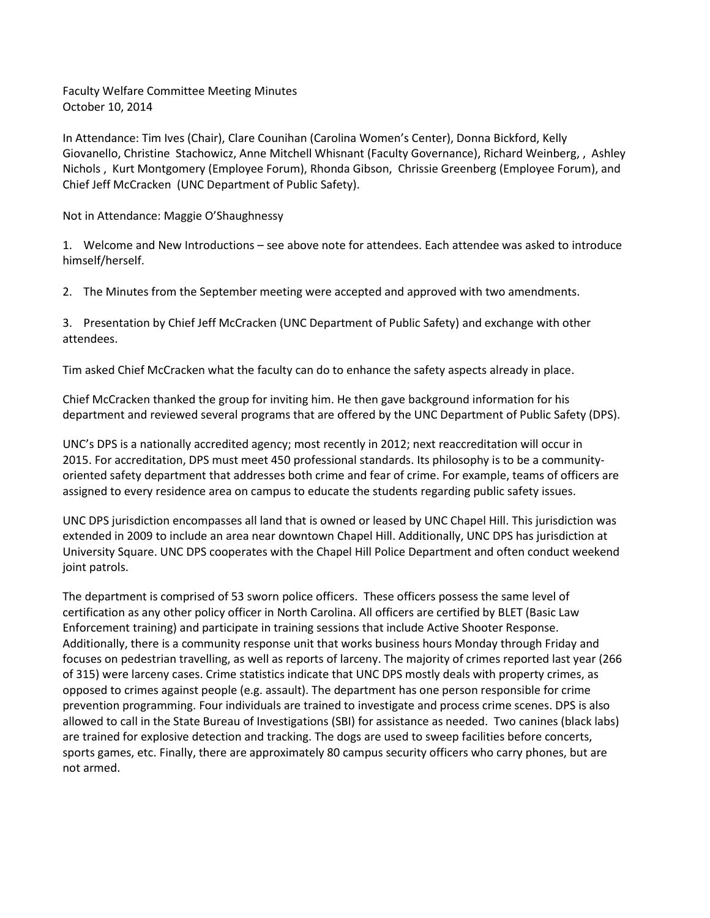Faculty Welfare Committee Meeting Minutes October 10, 2014

In Attendance: Tim Ives (Chair), Clare Counihan (Carolina Women's Center), Donna Bickford, Kelly Giovanello, Christine Stachowicz, Anne Mitchell Whisnant (Faculty Governance), Richard Weinberg, , Ashley Nichols , Kurt Montgomery (Employee Forum), Rhonda Gibson, Chrissie Greenberg (Employee Forum), and Chief Jeff McCracken (UNC Department of Public Safety).

Not in Attendance: Maggie O'Shaughnessy

1. Welcome and New Introductions – see above note for attendees. Each attendee was asked to introduce himself/herself.

2. The Minutes from the September meeting were accepted and approved with two amendments.

3. Presentation by Chief Jeff McCracken (UNC Department of Public Safety) and exchange with other attendees.

Tim asked Chief McCracken what the faculty can do to enhance the safety aspects already in place.

Chief McCracken thanked the group for inviting him. He then gave background information for his department and reviewed several programs that are offered by the UNC Department of Public Safety (DPS).

UNC's DPS is a nationally accredited agency; most recently in 2012; next reaccreditation will occur in 2015. For accreditation, DPS must meet 450 professional standards. Its philosophy is to be a communityoriented safety department that addresses both crime and fear of crime. For example, teams of officers are assigned to every residence area on campus to educate the students regarding public safety issues.

UNC DPS jurisdiction encompasses all land that is owned or leased by UNC Chapel Hill. This jurisdiction was extended in 2009 to include an area near downtown Chapel Hill. Additionally, UNC DPS has jurisdiction at University Square. UNC DPS cooperates with the Chapel Hill Police Department and often conduct weekend joint patrols.

The department is comprised of 53 sworn police officers. These officers possess the same level of certification as any other policy officer in North Carolina. All officers are certified by BLET (Basic Law Enforcement training) and participate in training sessions that include Active Shooter Response. Additionally, there is a community response unit that works business hours Monday through Friday and focuses on pedestrian travelling, as well as reports of larceny. The majority of crimes reported last year (266 of 315) were larceny cases. Crime statistics indicate that UNC DPS mostly deals with property crimes, as opposed to crimes against people (e.g. assault). The department has one person responsible for crime prevention programming. Four individuals are trained to investigate and process crime scenes. DPS is also allowed to call in the State Bureau of Investigations (SBI) for assistance as needed. Two canines (black labs) are trained for explosive detection and tracking. The dogs are used to sweep facilities before concerts, sports games, etc. Finally, there are approximately 80 campus security officers who carry phones, but are not armed.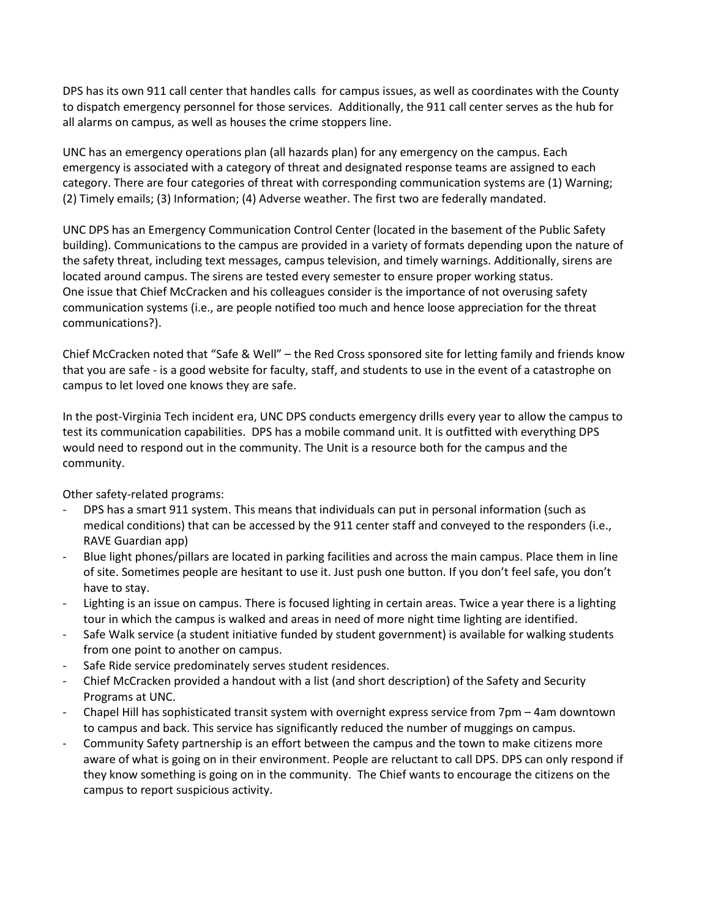DPS has its own 911 call center that handles calls for campus issues, as well as coordinates with the County to dispatch emergency personnel for those services. Additionally, the 911 call center serves as the hub for all alarms on campus, as well as houses the crime stoppers line.

UNC has an emergency operations plan (all hazards plan) for any emergency on the campus. Each emergency is associated with a category of threat and designated response teams are assigned to each category. There are four categories of threat with corresponding communication systems are (1) Warning; (2) Timely emails; (3) Information; (4) Adverse weather. The first two are federally mandated.

UNC DPS has an Emergency Communication Control Center (located in the basement of the Public Safety building). Communications to the campus are provided in a variety of formats depending upon the nature of the safety threat, including text messages, campus television, and timely warnings. Additionally, sirens are located around campus. The sirens are tested every semester to ensure proper working status. One issue that Chief McCracken and his colleagues consider is the importance of not overusing safety communication systems (i.e., are people notified too much and hence loose appreciation for the threat communications?).

Chief McCracken noted that "Safe & Well" – the Red Cross sponsored site for letting family and friends know that you are safe - is a good website for faculty, staff, and students to use in the event of a catastrophe on campus to let loved one knows they are safe.

In the post-Virginia Tech incident era, UNC DPS conducts emergency drills every year to allow the campus to test its communication capabilities. DPS has a mobile command unit. It is outfitted with everything DPS would need to respond out in the community. The Unit is a resource both for the campus and the community.

Other safety-related programs:

- DPS has a smart 911 system. This means that individuals can put in personal information (such as medical conditions) that can be accessed by the 911 center staff and conveyed to the responders (i.e., RAVE Guardian app)
- Blue light phones/pillars are located in parking facilities and across the main campus. Place them in line of site. Sometimes people are hesitant to use it. Just push one button. If you don't feel safe, you don't have to stay.
- Lighting is an issue on campus. There is focused lighting in certain areas. Twice a year there is a lighting tour in which the campus is walked and areas in need of more night time lighting are identified.
- Safe Walk service (a student initiative funded by student government) is available for walking students from one point to another on campus.
- Safe Ride service predominately serves student residences.
- Chief McCracken provided a handout with a list (and short description) of the Safety and Security Programs at UNC.
- Chapel Hill has sophisticated transit system with overnight express service from 7pm 4am downtown to campus and back. This service has significantly reduced the number of muggings on campus.
- Community Safety partnership is an effort between the campus and the town to make citizens more aware of what is going on in their environment. People are reluctant to call DPS. DPS can only respond if they know something is going on in the community. The Chief wants to encourage the citizens on the campus to report suspicious activity.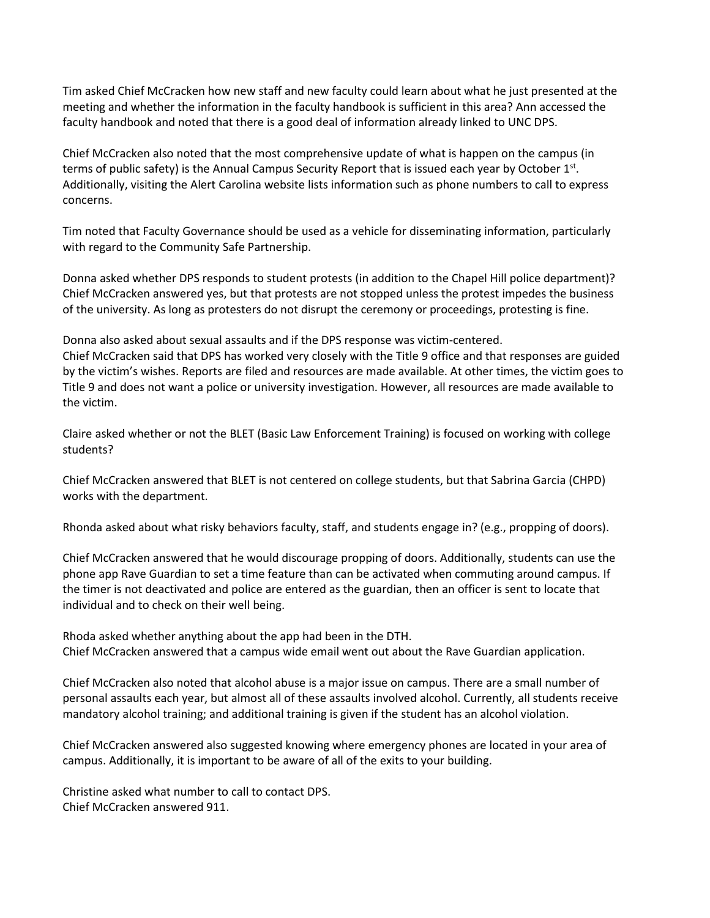Tim asked Chief McCracken how new staff and new faculty could learn about what he just presented at the meeting and whether the information in the faculty handbook is sufficient in this area? Ann accessed the faculty handbook and noted that there is a good deal of information already linked to UNC DPS.

Chief McCracken also noted that the most comprehensive update of what is happen on the campus (in terms of public safety) is the Annual Campus Security Report that is issued each year by October 1st. Additionally, visiting the Alert Carolina website lists information such as phone numbers to call to express concerns.

Tim noted that Faculty Governance should be used as a vehicle for disseminating information, particularly with regard to the Community Safe Partnership.

Donna asked whether DPS responds to student protests (in addition to the Chapel Hill police department)? Chief McCracken answered yes, but that protests are not stopped unless the protest impedes the business of the university. As long as protesters do not disrupt the ceremony or proceedings, protesting is fine.

Donna also asked about sexual assaults and if the DPS response was victim-centered.

Chief McCracken said that DPS has worked very closely with the Title 9 office and that responses are guided by the victim's wishes. Reports are filed and resources are made available. At other times, the victim goes to Title 9 and does not want a police or university investigation. However, all resources are made available to the victim.

Claire asked whether or not the BLET (Basic Law Enforcement Training) is focused on working with college students?

Chief McCracken answered that BLET is not centered on college students, but that Sabrina Garcia (CHPD) works with the department.

Rhonda asked about what risky behaviors faculty, staff, and students engage in? (e.g., propping of doors).

Chief McCracken answered that he would discourage propping of doors. Additionally, students can use the phone app Rave Guardian to set a time feature than can be activated when commuting around campus. If the timer is not deactivated and police are entered as the guardian, then an officer is sent to locate that individual and to check on their well being.

Rhoda asked whether anything about the app had been in the DTH. Chief McCracken answered that a campus wide email went out about the Rave Guardian application.

Chief McCracken also noted that alcohol abuse is a major issue on campus. There are a small number of personal assaults each year, but almost all of these assaults involved alcohol. Currently, all students receive mandatory alcohol training; and additional training is given if the student has an alcohol violation.

Chief McCracken answered also suggested knowing where emergency phones are located in your area of campus. Additionally, it is important to be aware of all of the exits to your building.

Christine asked what number to call to contact DPS. Chief McCracken answered 911.